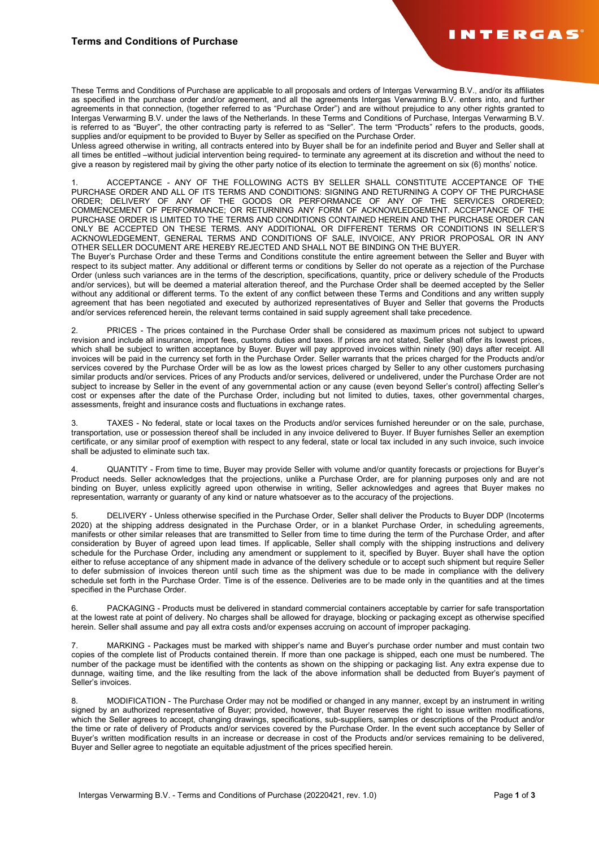These Terms and Conditions of Purchase are applicable to all proposals and orders of Intergas Verwarming B.V., and/or its affiliates as specified in the purchase order and/or agreement, and all the agreements Intergas Verwarming B.V. enters into, and further agreements in that connection, (together referred to as "Purchase Order") and are without prejudice to any other rights granted to Intergas Verwarming B.V. under the laws of the Netherlands. In these Terms and Conditions of Purchase, Intergas Verwarming B.V. is referred to as "Buyer", the other contracting party is referred to as "Seller". The term "Products" refers to the products, goods, supplies and/or equipment to be provided to Buyer by Seller as specified on the Purchase Order.

Unless agreed otherwise in writing, all contracts entered into by Buyer shall be for an indefinite period and Buyer and Seller shall at all times be entitled –without judicial intervention being required- to terminate any agreement at its discretion and without the need to give a reason by registered mail by giving the other party notice of its election to terminate the agreement on six (6) months' notice.

1. ACCEPTANCE - ANY OF THE FOLLOWING ACTS BY SELLER SHALL CONSTITUTE ACCEPTANCE OF THE PURCHASE ORDER AND ALL OF ITS TERMS AND CONDITIONS: SIGNING AND RETURNING A COPY OF THE PURCHASE ORDER; DELIVERY OF ANY OF THE GOODS OR PERFORMANCE OF ANY OF THE SERVICES ORDERED; COMMENCEMENT OF PERFORMANCE; OR RETURNING ANY FORM OF ACKNOWLEDGEMENT. ACCEPTANCE OF THE PURCHASE ORDER IS LIMITED TO THE TERMS AND CONDITIONS CONTAINED HEREIN AND THE PURCHASE ORDER CAN ONLY BE ACCEPTED ON THESE TERMS. ANY ADDITIONAL OR DIFFERENT TERMS OR CONDITIONS IN SELLER'S ACKNOWLEDGEMENT, GENERAL TERMS AND CONDITIONS OF SALE, INVOICE, ANY PRIOR PROPOSAL OR IN ANY OTHER SELLER DOCUMENT ARE HEREBY REJECTED AND SHALL NOT BE BINDING ON THE BUYER.

The Buyer's Purchase Order and these Terms and Conditions constitute the entire agreement between the Seller and Buyer with respect to its subject matter. Any additional or different terms or conditions by Seller do not operate as a rejection of the Purchase Order (unless such variances are in the terms of the description, specifications, quantity, price or delivery schedule of the Products and/or services), but will be deemed a material alteration thereof, and the Purchase Order shall be deemed accepted by the Seller without any additional or different terms. To the extent of any conflict between these Terms and Conditions and any written supply agreement that has been negotiated and executed by authorized representatives of Buyer and Seller that governs the Products and/or services referenced herein, the relevant terms contained in said supply agreement shall take precedence.

PRICES - The prices contained in the Purchase Order shall be considered as maximum prices not subject to upward revision and include all insurance, import fees, customs duties and taxes. If prices are not stated, Seller shall offer its lowest prices, which shall be subject to written acceptance by Buyer. Buyer will pay approved invoices within ninety (90) days after receipt. All invoices will be paid in the currency set forth in the Purchase Order. Seller warrants that the prices charged for the Products and/or services covered by the Purchase Order will be as low as the lowest prices charged by Seller to any other customers purchasing similar products and/or services. Prices of any Products and/or services, delivered or undelivered, under the Purchase Order are not subject to increase by Seller in the event of any governmental action or any cause (even beyond Seller's control) affecting Seller's cost or expenses after the date of the Purchase Order, including but not limited to duties, taxes, other governmental charges, assessments, freight and insurance costs and fluctuations in exchange rates.

TAXES - No federal, state or local taxes on the Products and/or services furnished hereunder or on the sale, purchase, transportation, use or possession thereof shall be included in any invoice delivered to Buyer. If Buyer furnishes Seller an exemption certificate, or any similar proof of exemption with respect to any federal, state or local tax included in any such invoice, such invoice shall be adjusted to eliminate such tax.

4. QUANTITY - From time to time, Buyer may provide Seller with volume and/or quantity forecasts or projections for Buyer's Product needs. Seller acknowledges that the projections, unlike a Purchase Order, are for planning purposes only and are not binding on Buyer, unless explicitly agreed upon otherwise in writing, Seller acknowledges and agrees that Buyer makes no representation, warranty or guaranty of any kind or nature whatsoever as to the accuracy of the projections.

5. DELIVERY - Unless otherwise specified in the Purchase Order, Seller shall deliver the Products to Buyer DDP (Incoterms 2020) at the shipping address designated in the Purchase Order, or in a blanket Purchase Order, in scheduling agreements, manifests or other similar releases that are transmitted to Seller from time to time during the term of the Purchase Order, and after consideration by Buyer of agreed upon lead times. If applicable, Seller shall comply with the shipping instructions and delivery schedule for the Purchase Order, including any amendment or supplement to it, specified by Buyer. Buyer shall have the option either to refuse acceptance of any shipment made in advance of the delivery schedule or to accept such shipment but require Seller to defer submission of invoices thereon until such time as the shipment was due to be made in compliance with the delivery schedule set forth in the Purchase Order. Time is of the essence. Deliveries are to be made only in the quantities and at the times specified in the Purchase Order.

6. PACKAGING - Products must be delivered in standard commercial containers acceptable by carrier for safe transportation at the lowest rate at point of delivery. No charges shall be allowed for drayage, blocking or packaging except as otherwise specified herein. Seller shall assume and pay all extra costs and/or expenses accruing on account of improper packaging.

7. MARKING - Packages must be marked with shipper's name and Buyer's purchase order number and must contain two copies of the complete list of Products contained therein. If more than one package is shipped, each one must be numbered. The number of the package must be identified with the contents as shown on the shipping or packaging list. Any extra expense due to dunnage, waiting time, and the like resulting from the lack of the above information shall be deducted from Buyer's payment of Seller's invoices.

8. MODIFICATION - The Purchase Order may not be modified or changed in any manner, except by an instrument in writing signed by an authorized representative of Buyer; provided, however, that Buyer reserves the right to issue written modifications, which the Seller agrees to accept, changing drawings, specifications, sub-suppliers, samples or descriptions of the Product and/or the time or rate of delivery of Products and/or services covered by the Purchase Order. In the event such acceptance by Seller of Buyer's written modification results in an increase or decrease in cost of the Products and/or services remaining to be delivered, Buyer and Seller agree to negotiate an equitable adjustment of the prices specified herein.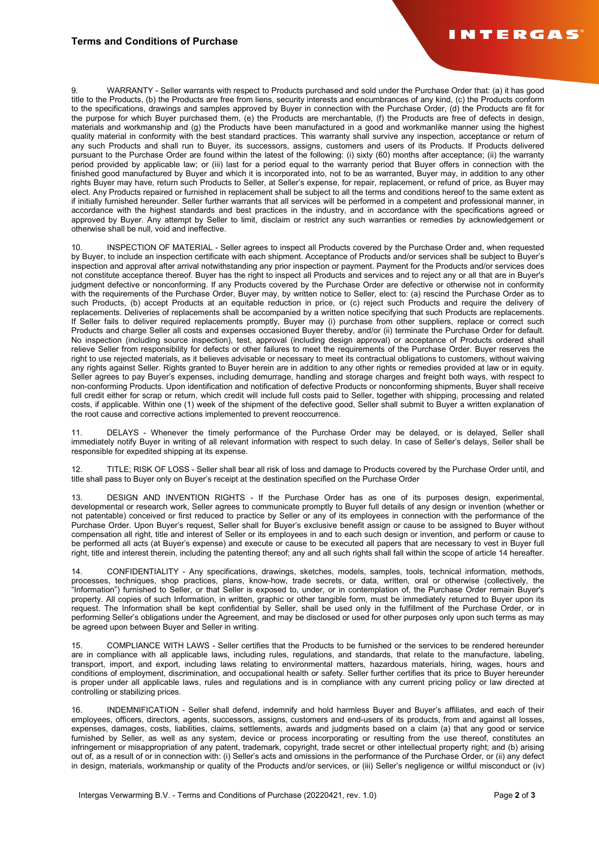## **Terms and Conditions of Purchase**

9. WARRANTY - Seller warrants with respect to Products purchased and sold under the Purchase Order that: (a) it has good title to the Products, (b) the Products are free from liens, security interests and encumbrances of any kind, (c) the Products conform to the specifications, drawings and samples approved by Buyer in connection with the Purchase Order, (d) the Products are fit for the purpose for which Buyer purchased them, (e) the Products are merchantable, (f) the Products are free of defects in design, materials and workmanship and (g) the Products have been manufactured in a good and workmanlike manner using the highest quality material in conformity with the best standard practices. This warranty shall survive any inspection, acceptance or return of any such Products and shall run to Buyer, its successors, assigns, customers and users of its Products. If Products delivered pursuant to the Purchase Order are found within the latest of the following: (i) sixty (60) months after acceptance; (ii) the warranty period provided by applicable law; or (iii) last for a period equal to the warranty period that Buyer offers in connection with the finished good manufactured by Buyer and which it is incorporated into, not to be as warranted, Buyer may, in addition to any other rights Buyer may have, return such Products to Seller, at Seller's expense, for repair, replacement, or refund of price, as Buyer may elect. Any Products repaired or furnished in replacement shall be subject to all the terms and conditions hereof to the same extent as if initially furnished hereunder. Seller further warrants that all services will be performed in a competent and professional manner, in accordance with the highest standards and best practices in the industry, and in accordance with the specifications agreed or approved by Buyer. Any attempt by Seller to limit, disclaim or restrict any such warranties or remedies by acknowledgement or otherwise shall be null, void and ineffective.

10. INSPECTION OF MATERIAL - Seller agrees to inspect all Products covered by the Purchase Order and, when requested by Buyer, to include an inspection certificate with each shipment. Acceptance of Products and/or services shall be subject to Buyer's inspection and approval after arrival notwithstanding any prior inspection or payment. Payment for the Products and/or services does not constitute acceptance thereof. Buyer has the right to inspect all Products and services and to reject any or all that are in Buyer's judgment defective or nonconforming. If any Products covered by the Purchase Order are defective or otherwise not in conformity with the requirements of the Purchase Order, Buyer may, by written notice to Seller, elect to: (a) rescind the Purchase Order as to such Products, (b) accept Products at an equitable reduction in price, or (c) reject such Products and require the delivery of replacements. Deliveries of replacements shall be accompanied by a written notice specifying that such Products are replacements. If Seller fails to deliver required replacements promptly, Buyer may (i) purchase from other suppliers, replace or correct such Products and charge Seller all costs and expenses occasioned Buyer thereby, and/or (ii) terminate the Purchase Order for default. No inspection (including source inspection), test, approval (including design approval) or acceptance of Products ordered shall relieve Seller from responsibility for defects or other failures to meet the requirements of the Purchase Order. Buyer reserves the right to use rejected materials, as it believes advisable or necessary to meet its contractual obligations to customers, without waiving any rights against Seller. Rights granted to Buyer herein are in addition to any other rights or remedies provided at law or in equity. Seller agrees to pay Buyer's expenses, including demurrage, handling and storage charges and freight both ways, with respect to non-conforming Products. Upon identification and notification of defective Products or nonconforming shipments, Buyer shall receive full credit either for scrap or return, which credit will include full costs paid to Seller, together with shipping, processing and related costs, if applicable. Within one (1) week of the shipment of the defective good, Seller shall submit to Buyer a written explanation of the root cause and corrective actions implemented to prevent reoccurrence.

11. DELAYS - Whenever the timely performance of the Purchase Order may be delayed, or is delayed, Seller shall immediately notify Buyer in writing of all relevant information with respect to such delay. In case of Seller's delays, Seller shall be responsible for expedited shipping at its expense.

12. TITLE; RISK OF LOSS - Seller shall bear all risk of loss and damage to Products covered by the Purchase Order until, and title shall pass to Buyer only on Buyer's receipt at the destination specified on the Purchase Order

13. DESIGN AND INVENTION RIGHTS - If the Purchase Order has as one of its purposes design, experimental, developmental or research work, Seller agrees to communicate promptly to Buyer full details of any design or invention (whether or not patentable) conceived or first reduced to practice by Seller or any of its employees in connection with the performance of the Purchase Order. Upon Buyer's request, Seller shall for Buyer's exclusive benefit assign or cause to be assigned to Buyer without compensation all right, title and interest of Seller or its employees in and to each such design or invention, and perform or cause to be performed all acts (at Buyer's expense) and execute or cause to be executed all papers that are necessary to vest in Buyer full right, title and interest therein, including the patenting thereof; any and all such rights shall fall within the scope of article 14 hereafter.

14. CONFIDENTIALITY - Any specifications, drawings, sketches, models, samples, tools, technical information, methods, processes, techniques, shop practices, plans, know-how, trade secrets, or data, written, oral or otherwise (collectively, the "Information") furnished to Seller, or that Seller is exposed to, under, or in contemplation of, the Purchase Order remain Buyer's property. All copies of such Information, in written, graphic or other tangible form, must be immediately returned to Buyer upon its request. The Information shall be kept confidential by Seller, shall be used only in the fulfillment of the Purchase Order, or in performing Seller's obligations under the Agreement, and may be disclosed or used for other purposes only upon such terms as may be agreed upon between Buyer and Seller in writing.

15. COMPLIANCE WITH LAWS - Seller certifies that the Products to be furnished or the services to be rendered hereunder are in compliance with all applicable laws, including rules, regulations, and standards, that relate to the manufacture, labeling, transport, import, and export, including laws relating to environmental matters, hazardous materials, hiring, wages, hours and conditions of employment, discrimination, and occupational health or safety. Seller further certifies that its price to Buyer hereunder is proper under all applicable laws, rules and regulations and is in compliance with any current pricing policy or law directed at controlling or stabilizing prices.

16. INDEMNIFICATION - Seller shall defend, indemnify and hold harmless Buyer and Buyer's affiliates, and each of their employees, officers, directors, agents, successors, assigns, customers and end-users of its products, from and against all losses, expenses, damages, costs, liabilities, claims, settlements, awards and judgments based on a claim (a) that any good or service furnished by Seller, as well as any system, device or process incorporating or resulting from the use thereof, constitutes an infringement or misappropriation of any patent, trademark, copyright, trade secret or other intellectual property right; and (b) arising out of, as a result of or in connection with: (i) Seller's acts and omissions in the performance of the Purchase Order, or (ii) any defect in design, materials, workmanship or quality of the Products and/or services, or (iii) Seller's negligence or willful misconduct or (iv)